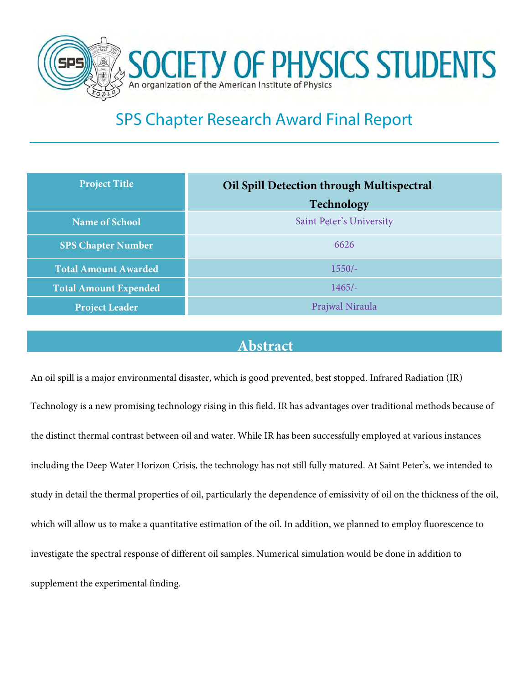

# SPS Chapter Research Award Final Report

| <b>Project Title</b>         | Oil Spill Detection through Multispectral |
|------------------------------|-------------------------------------------|
|                              | <b>Technology</b>                         |
| <b>Name of School</b>        | Saint Peter's University                  |
| <b>SPS Chapter Number</b>    | 6626                                      |
| <b>Total Amount Awarded</b>  | $1550/-$                                  |
| <b>Total Amount Expended</b> | $1465/-$                                  |
| <b>Project Leader</b>        | Prajwal Niraula                           |

## **Abstract**

An oil spill is a major environmental disaster, which is good prevented, best stopped. Infrared Radiation (IR) Technology is a new promising technology rising in this field. IR has advantages over traditional methods because of the distinct thermal contrast between oil and water. While IR has been successfully employed at various instances including the Deep Water Horizon Crisis, the technology has not still fully matured. At Saint Peter's, we intended to study in detail the thermal properties of oil, particularly the dependence of emissivity of oil on the thickness of the oil, which will allow us to make a quantitative estimation of the oil. In addition, we planned to employ fluorescence to investigate the spectral response of different oil samples. Numerical simulation would be done in addition to supplement the experimental finding.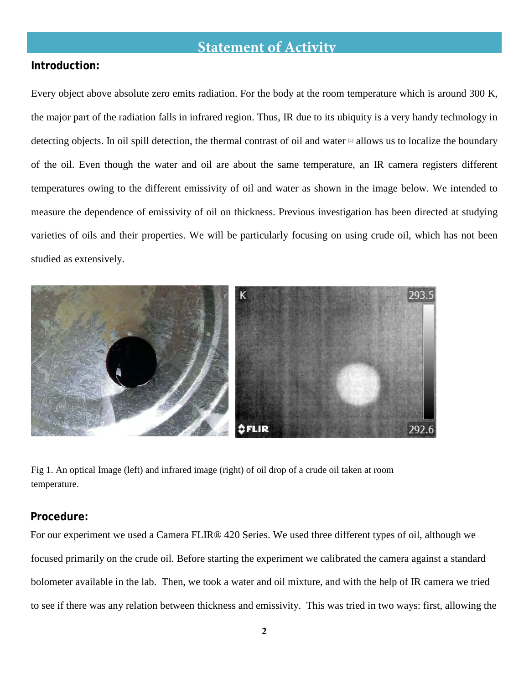# **Statement of Activity**

#### **Introduction:**

Every object above absolute zero emits radiation. For the body at the room temperature which is around 300 K, the major part of the radiation falls in infrared region. Thus, IR due to its ubiquity is a very handy technology in detecting objects. In oil spill detection, the thermal contrast of oil and water [1] allows us to localize the boundary of the oil. Even though the water and oil are about the same temperature, an IR camera registers different temperatures owing to the different emissivity of oil and water as shown in the image below. We intended to measure the dependence of emissivity of oil on thickness. Previous investigation has been directed at studying varieties of oils and their properties. We will be particularly focusing on using crude oil, which has not been studied as extensively.



Fig 1. An optical Image (left) and infrared image (right) of oil drop of a crude oil taken at room temperature.

#### **Procedure:**

For our experiment we used a Camera FLIR® 420 Series. We used three different types of oil, although we focused primarily on the crude oil. Before starting the experiment we calibrated the camera against a standard bolometer available in the lab. Then, we took a water and oil mixture, and with the help of IR camera we tried to see if there was any relation between thickness and emissivity. This was tried in two ways: first, allowing the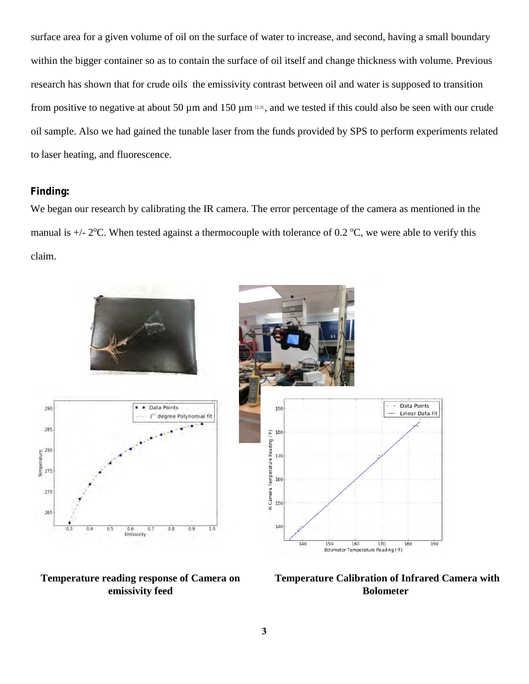surface area for a given volume of oil on the surface of water to increase, and second, having a small boundary within the bigger container so as to contain the surface of oil itself and change thickness with volume. Previous research has shown that for crude oils the emissivity contrast between oil and water is supposed to transition from positive to negative at about 50  $\mu$ m and 150  $\mu$ m  $(2,3)$ , and we tested if this could also be seen with our crude oil sample. Also we had gained the tunable laser from the funds provided by SPS to perform experiments related to laser heating, and fluorescence.

#### **Finding:**

We began our research by calibrating the IR camera. The error percentage of the camera as mentioned in the manual is  $+/- 2$ <sup>o</sup>C. When tested against a thermocouple with tolerance of 0.2 <sup>o</sup>C, we were able to verify this claim.



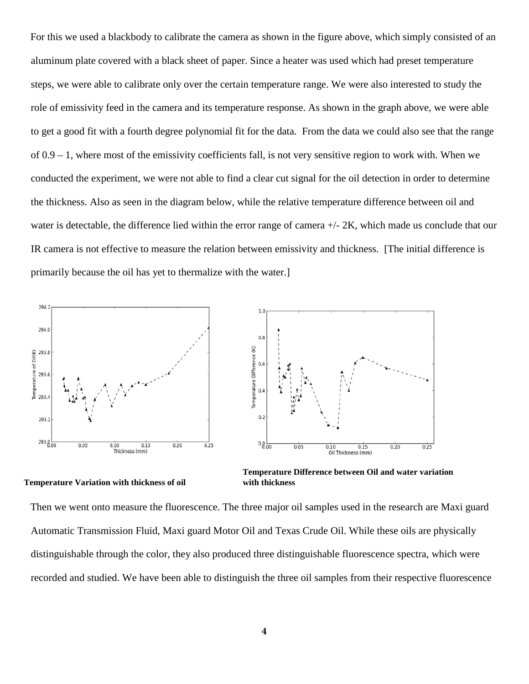For this we used a blackbody to calibrate the camera as shown in the figure above, which simply consisted of an aluminum plate covered with a black sheet of paper. Since a heater was used which had preset temperature steps, we were able to calibrate only over the certain temperature range. We were also interested to study the role of emissivity feed in the camera and its temperature response. As shown in the graph above, we were able to get a good fit with a fourth degree polynomial fit for the data. From the data we could also see that the range of 0.9 – 1, where most of the emissivity coefficients fall, is not very sensitive region to work with. When we conducted the experiment, we were not able to find a clear cut signal for the oil detection in order to determine the thickness. Also as seen in the diagram below, while the relative temperature difference between oil and water is detectable, the difference lied within the error range of camera  $+/- 2K$ , which made us conclude that our IR camera is not effective to measure the relation between emissivity and thickness. [The initial difference is primarily because the oil has yet to thermalize with the water.]



**Temperature Variation with thickness of oil with thickness** 

 **Temperature Difference between Oil and water variation** 

Then we went onto measure the fluorescence. The three major oil samples used in the research are Maxi guard Automatic Transmission Fluid, Maxi guard Motor Oil and Texas Crude Oil. While these oils are physically distinguishable through the color, they also produced three distinguishable fluorescence spectra, which were recorded and studied. We have been able to distinguish the three oil samples from their respective fluorescence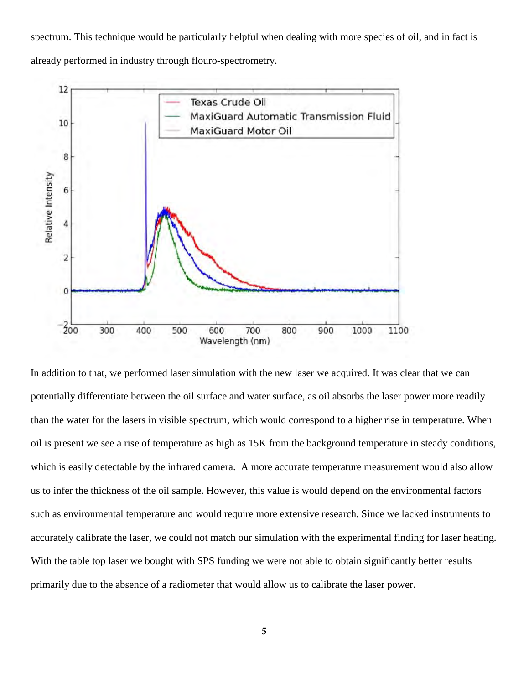spectrum. This technique would be particularly helpful when dealing with more species of oil, and in fact is already performed in industry through flouro-spectrometry.



In addition to that, we performed laser simulation with the new laser we acquired. It was clear that we can potentially differentiate between the oil surface and water surface, as oil absorbs the laser power more readily than the water for the lasers in visible spectrum, which would correspond to a higher rise in temperature. When oil is present we see a rise of temperature as high as 15K from the background temperature in steady conditions, which is easily detectable by the infrared camera. A more accurate temperature measurement would also allow us to infer the thickness of the oil sample. However, this value is would depend on the environmental factors such as environmental temperature and would require more extensive research. Since we lacked instruments to accurately calibrate the laser, we could not match our simulation with the experimental finding for laser heating. With the table top laser we bought with SPS funding we were not able to obtain significantly better results primarily due to the absence of a radiometer that would allow us to calibrate the laser power.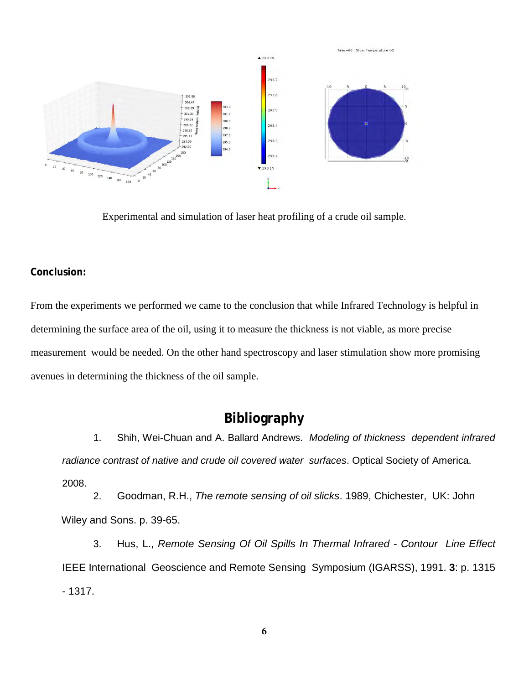

Experimental and simulation of laser heat profiling of a crude oil sample.

#### **Conclusion:**

From the experiments we performed we came to the conclusion that while Infrared Technology is helpful in determining the surface area of the oil, using it to measure the thickness is not viable, as more precise measurement would be needed. On the other hand spectroscopy and laser stimulation show more promising avenues in determining the thickness of the oil sample.

## **Bibliography**

1. Shih, Wei-Chuan and A. Ballard Andrews. *Modeling of thickness dependent infrared radiance contrast of native and crude oil covered water surfaces*. Optical Society of America.

2008.

2. Goodman, R.H., *The remote sensing of oil slicks*. 1989, Chichester, UK: John Wiley and Sons. p. 39-65.

3. Hus, L., *Remote Sensing Of Oil Spills In Thermal Infrared - Contour Line Effect*  IEEE International Geoscience and Remote Sensing Symposium (IGARSS), 1991. **3**: p. 1315 - 1317.

**6**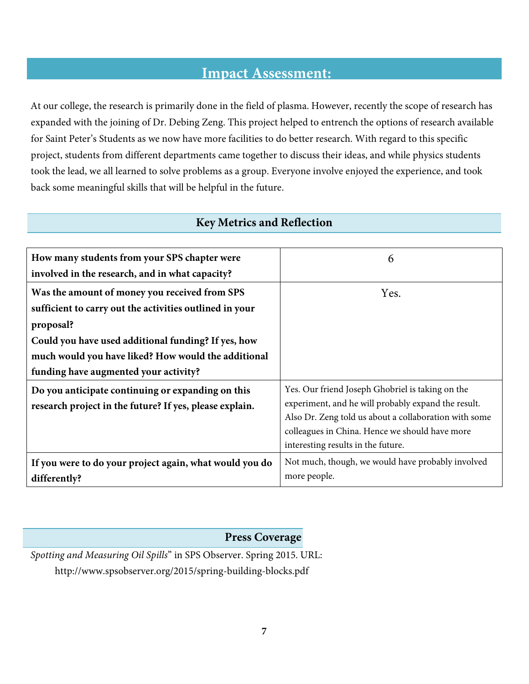# **Impact Assessment:**

At our college, the research is primarily done in the field of plasma. However, recently the scope of research has expanded with the joining of Dr. Debing Zeng. This project helped to entrench the options of research available for Saint Peter's Students as we now have more facilities to do better research. With regard to this specific project, students from different departments came together to discuss their ideas, and while physics students took the lead, we all learned to solve problems as a group. Everyone involve enjoyed the experience, and took back some meaningful skills that will be helpful in the future.

| How many students from your SPS chapter were                                                                 | 6                                                                                                                                                                                                                                                        |
|--------------------------------------------------------------------------------------------------------------|----------------------------------------------------------------------------------------------------------------------------------------------------------------------------------------------------------------------------------------------------------|
| involved in the research, and in what capacity?                                                              |                                                                                                                                                                                                                                                          |
| Was the amount of money you received from SPS                                                                | Yes.                                                                                                                                                                                                                                                     |
| sufficient to carry out the activities outlined in your                                                      |                                                                                                                                                                                                                                                          |
| proposal?                                                                                                    |                                                                                                                                                                                                                                                          |
| Could you have used additional funding? If yes, how                                                          |                                                                                                                                                                                                                                                          |
| much would you have liked? How would the additional                                                          |                                                                                                                                                                                                                                                          |
| funding have augmented your activity?                                                                        |                                                                                                                                                                                                                                                          |
| Do you anticipate continuing or expanding on this<br>research project in the future? If yes, please explain. | Yes. Our friend Joseph Ghobriel is taking on the<br>experiment, and he will probably expand the result.<br>Also Dr. Zeng told us about a collaboration with some<br>colleagues in China. Hence we should have more<br>interesting results in the future. |
| If you were to do your project again, what would you do<br>differently?                                      | Not much, though, we would have probably involved<br>more people.                                                                                                                                                                                        |

### **Key Metrics and Reflection**

#### **Press Coverage**

*Spotting and Measuring Oil Spills*" in SPS Observer. Spring 2015. URL: http://www.spsobserver.org/2015/spring-building-blocks.pdf